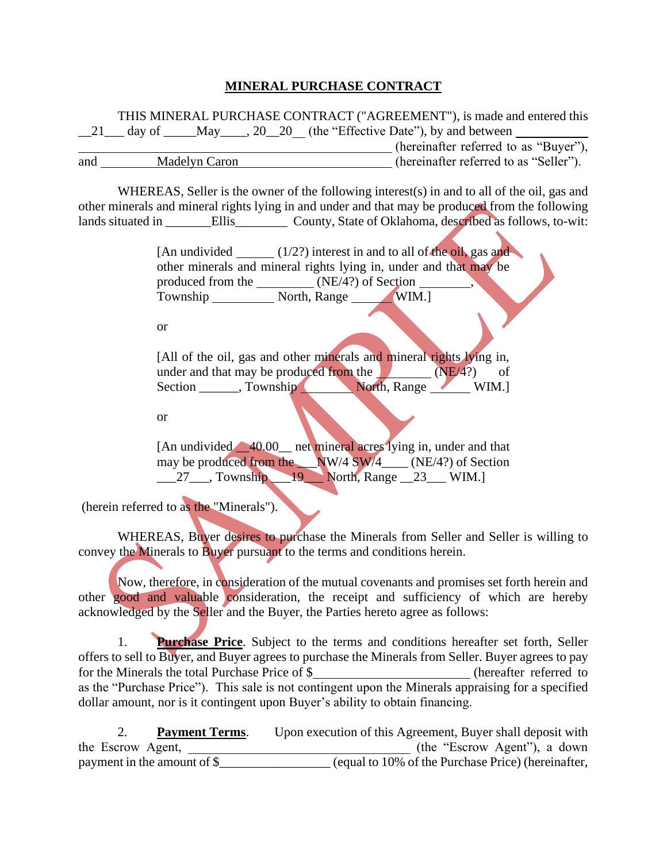## **MINERAL PURCHASE CONTRACT**

THIS MINERAL PURCHASE CONTRACT ("AGREEMENT"), is made and entered this  $\_21$  day of  $\_$  May $\_$ , 20 $\_20$  (the "Effective Date"), by and between (hereinafter referred to as "Buyer"), and Madelyn Caron (hereinafter referred to as "Seller").

WHEREAS, Seller is the owner of the following interest(s) in and to all of the oil, gas and other minerals and mineral rights lying in and under and that may be produced from the following lands situated in \_\_\_\_\_\_\_\_Ellis\_\_\_\_\_\_\_\_\_\_ County, State of Oklahoma, described as follows, to-wit:

> [An undivided  $(1/2?)$  interest in and to all of the oil, gas and other minerals and mineral rights lying in, under and that may be produced from the \_\_\_\_\_\_\_\_\_(NE/4?) of Section Township North, Range WIM.]

or

[All of the oil, gas and other minerals and mineral rights lying in, under and that may be produced from the  $(NE/4?)$  of Section \_\_\_\_\_\_, Township North, Range WIM.]

or

[An undivided  $\triangle$  40.00 \_ net mineral acres lying in, under and that may be produced from the  $NW/4$  SW/4  $(NE/4?)$  of Section  $\frac{27}{27}$ , Township 19 North, Range 23 WIM.]

(herein referred to as the "Minerals").

WHEREAS, Buyer desires to purchase the Minerals from Seller and Seller is willing to convey the Minerals to Buyer pursuant to the terms and conditions herein.

Now, therefore, in consideration of the mutual covenants and promises set forth herein and other good and valuable consideration, the receipt and sufficiency of which are hereby acknowledged by the Seller and the Buyer, the Parties hereto agree as follows:

1. **Purchase Price**. Subject to the terms and conditions hereafter set forth, Seller offers to sell to Buyer, and Buyer agrees to purchase the Minerals from Seller. Buyer agrees to pay for the Minerals the total Purchase Price of \$ (hereafter referred to as the "Purchase Price"). This sale is not contingent upon the Minerals appraising for a specified dollar amount, nor is it contingent upon Buyer's ability to obtain financing.

2. **Payment Terms**. Upon execution of this Agreement, Buyer shall deposit with the Escrow Agent, The Escrow Agent,  $($ the "Escrow Agent"), a down payment in the amount of  $\frac{1}{2}$  (equal to 10% of the Purchase Price) (hereinafter,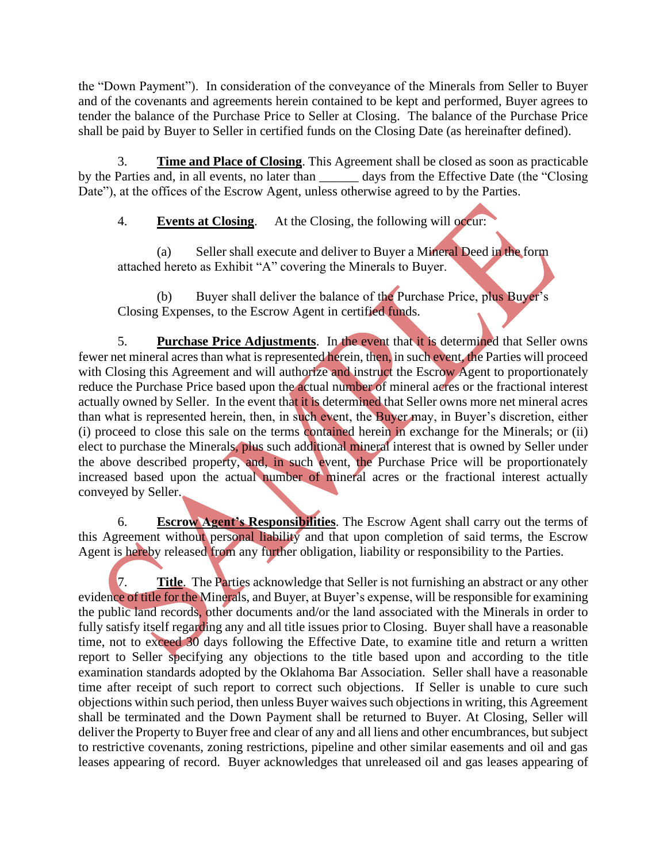the "Down Payment"). In consideration of the conveyance of the Minerals from Seller to Buyer and of the covenants and agreements herein contained to be kept and performed, Buyer agrees to tender the balance of the Purchase Price to Seller at Closing. The balance of the Purchase Price shall be paid by Buyer to Seller in certified funds on the Closing Date (as hereinafter defined).

3. **Time and Place of Closing**. This Agreement shall be closed as soon as practicable by the Parties and, in all events, no later than \_\_\_\_\_\_ days from the Effective Date (the "Closing Date"), at the offices of the Escrow Agent, unless otherwise agreed to by the Parties.

4. **Events at Closing**. At the Closing, the following will occur:

(a) Seller shall execute and deliver to Buyer a Mineral Deed in the form attached hereto as Exhibit "A" covering the Minerals to Buyer.

(b) Buyer shall deliver the balance of the Purchase Price, plus Buyer's Closing Expenses, to the Escrow Agent in certified funds.

5. **Purchase Price Adjustments**. In the event that it is determined that Seller owns fewer net mineral acres than what is represented herein, then, in such event, the Parties will proceed with Closing this Agreement and will authorize and instruct the Escrow Agent to proportionately reduce the Purchase Price based upon the actual number of mineral acres or the fractional interest actually owned by Seller. In the event that it is determined that Seller owns more net mineral acres than what is represented herein, then, in such event, the Buyer may, in Buyer's discretion, either (i) proceed to close this sale on the terms contained herein in exchange for the Minerals; or (ii) elect to purchase the Minerals, plus such additional mineral interest that is owned by Seller under the above described property, and, in such event, the Purchase Price will be proportionately increased based upon the actual number of mineral acres or the fractional interest actually conveyed by Seller.

6. **Escrow Agent's Responsibilities**. The Escrow Agent shall carry out the terms of this Agreement without personal liability and that upon completion of said terms, the Escrow Agent is hereby released from any further obligation, liability or responsibility to the Parties.

7. **Title**. The Parties acknowledge that Seller is not furnishing an abstract or any other evidence of title for the Minerals, and Buyer, at Buyer's expense, will be responsible for examining the public land records, other documents and/or the land associated with the Minerals in order to fully satisfy itself regarding any and all title issues prior to Closing. Buyer shall have a reasonable time, not to exceed 30 days following the Effective Date, to examine title and return a written report to Seller specifying any objections to the title based upon and according to the title examination standards adopted by the Oklahoma Bar Association. Seller shall have a reasonable time after receipt of such report to correct such objections. If Seller is unable to cure such objections within such period, then unless Buyer waives such objections in writing, this Agreement shall be terminated and the Down Payment shall be returned to Buyer. At Closing, Seller will deliver the Property to Buyer free and clear of any and all liens and other encumbrances, but subject to restrictive covenants, zoning restrictions, pipeline and other similar easements and oil and gas leases appearing of record. Buyer acknowledges that unreleased oil and gas leases appearing of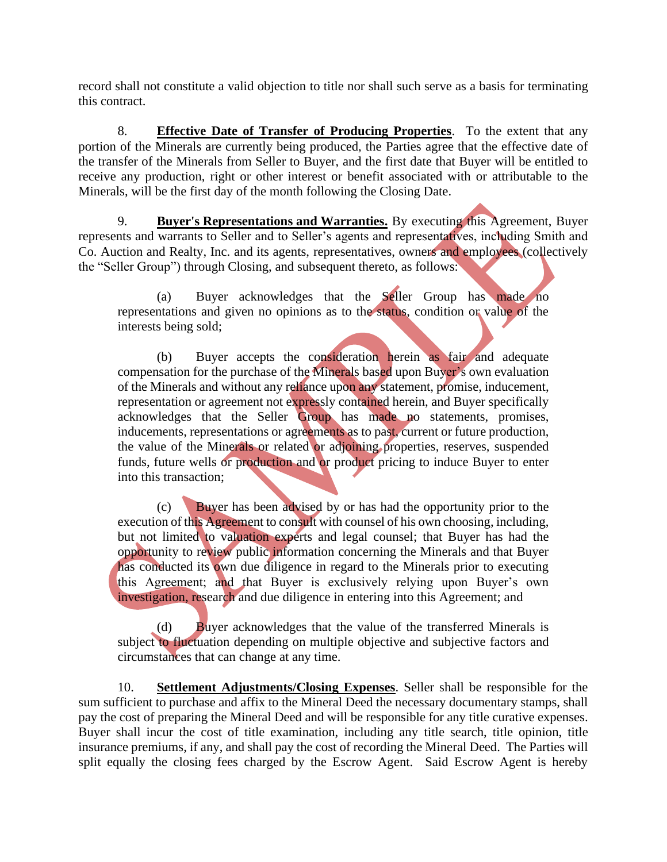record shall not constitute a valid objection to title nor shall such serve as a basis for terminating this contract.

8. **Effective Date of Transfer of Producing Properties**. To the extent that any portion of the Minerals are currently being produced, the Parties agree that the effective date of the transfer of the Minerals from Seller to Buyer, and the first date that Buyer will be entitled to receive any production, right or other interest or benefit associated with or attributable to the Minerals, will be the first day of the month following the Closing Date.

9. **Buyer's Representations and Warranties.** By executing this Agreement, Buyer represents and warrants to Seller and to Seller's agents and representatives, including Smith and Co. Auction and Realty, Inc. and its agents, representatives, owners and employees (collectively the "Seller Group") through Closing, and subsequent thereto, as follows:

(a) Buyer acknowledges that the Seller Group has made no representations and given no opinions as to the status, condition or value of the interests being sold;

(b) Buyer accepts the consideration herein as fair and adequate compensation for the purchase of the Minerals based upon Buyer's own evaluation of the Minerals and without any reliance upon any statement, promise, inducement, representation or agreement not expressly contained herein, and Buyer specifically acknowledges that the Seller Group has made no statements, promises, inducements, representations or agreements as to past, current or future production, the value of the Minerals or related or adjoining properties, reserves, suspended funds, future wells or production and or product pricing to induce Buyer to enter into this transaction;

(c) Buyer has been advised by or has had the opportunity prior to the execution of this Agreement to consult with counsel of his own choosing, including, but not limited to valuation experts and legal counsel; that Buyer has had the opportunity to review public information concerning the Minerals and that Buyer has conducted its own due diligence in regard to the Minerals prior to executing this Agreement; and that Buyer is exclusively relying upon Buyer's own investigation, research and due diligence in entering into this Agreement; and

(d) Buyer acknowledges that the value of the transferred Minerals is subject to fluctuation depending on multiple objective and subjective factors and circumstances that can change at any time.

10. **Settlement Adjustments/Closing Expenses**. Seller shall be responsible for the sum sufficient to purchase and affix to the Mineral Deed the necessary documentary stamps, shall pay the cost of preparing the Mineral Deed and will be responsible for any title curative expenses. Buyer shall incur the cost of title examination, including any title search, title opinion, title insurance premiums, if any, and shall pay the cost of recording the Mineral Deed. The Parties will split equally the closing fees charged by the Escrow Agent. Said Escrow Agent is hereby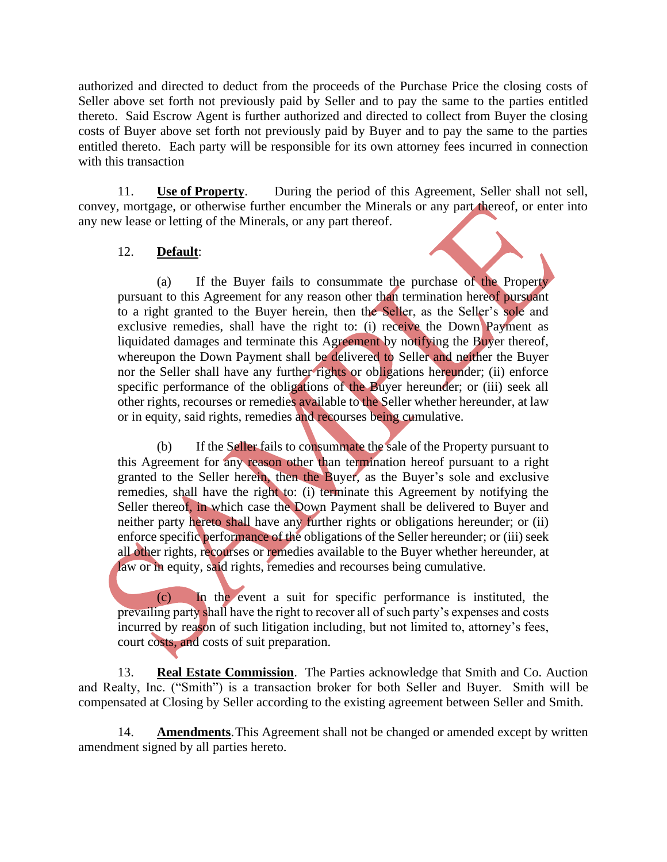authorized and directed to deduct from the proceeds of the Purchase Price the closing costs of Seller above set forth not previously paid by Seller and to pay the same to the parties entitled thereto. Said Escrow Agent is further authorized and directed to collect from Buyer the closing costs of Buyer above set forth not previously paid by Buyer and to pay the same to the parties entitled thereto. Each party will be responsible for its own attorney fees incurred in connection with this transaction

11. **Use of Property**. During the period of this Agreement, Seller shall not sell, convey, mortgage, or otherwise further encumber the Minerals or any part thereof, or enter into any new lease or letting of the Minerals, or any part thereof.

## 12. **Default**:

(a) If the Buyer fails to consummate the purchase of the Property pursuant to this Agreement for any reason other than termination hereof pursuant to a right granted to the Buyer herein, then the Seller, as the Seller's sole and exclusive remedies, shall have the right to: (i) receive the Down Payment as liquidated damages and terminate this Agreement by notifying the Buyer thereof, whereupon the Down Payment shall be delivered to Seller and neither the Buyer nor the Seller shall have any further rights or obligations hereunder; (ii) enforce specific performance of the obligations of the Buyer hereunder; or (iii) seek all other rights, recourses or remedies available to the Seller whether hereunder, at law or in equity, said rights, remedies and recourses being cumulative.

(b) If the Seller fails to consummate the sale of the Property pursuant to this Agreement for any reason other than termination hereof pursuant to a right granted to the Seller herein, then the Buyer, as the Buyer's sole and exclusive remedies, shall have the right to: (i) terminate this Agreement by notifying the Seller thereof, in which case the Down Payment shall be delivered to Buyer and neither party hereto shall have any further rights or obligations hereunder; or (ii) enforce specific performance of the obligations of the Seller hereunder; or (iii) seek all other rights, recourses or remedies available to the Buyer whether hereunder, at law or in equity, said rights, remedies and recourses being cumulative.

(c) In the event a suit for specific performance is instituted, the prevailing party shall have the right to recover all of such party's expenses and costs incurred by reason of such litigation including, but not limited to, attorney's fees, court costs, and costs of suit preparation.

13. **Real Estate Commission**. The Parties acknowledge that Smith and Co. Auction and Realty, Inc. ("Smith") is a transaction broker for both Seller and Buyer. Smith will be compensated at Closing by Seller according to the existing agreement between Seller and Smith.

14. **Amendments**.This Agreement shall not be changed or amended except by written amendment signed by all parties hereto.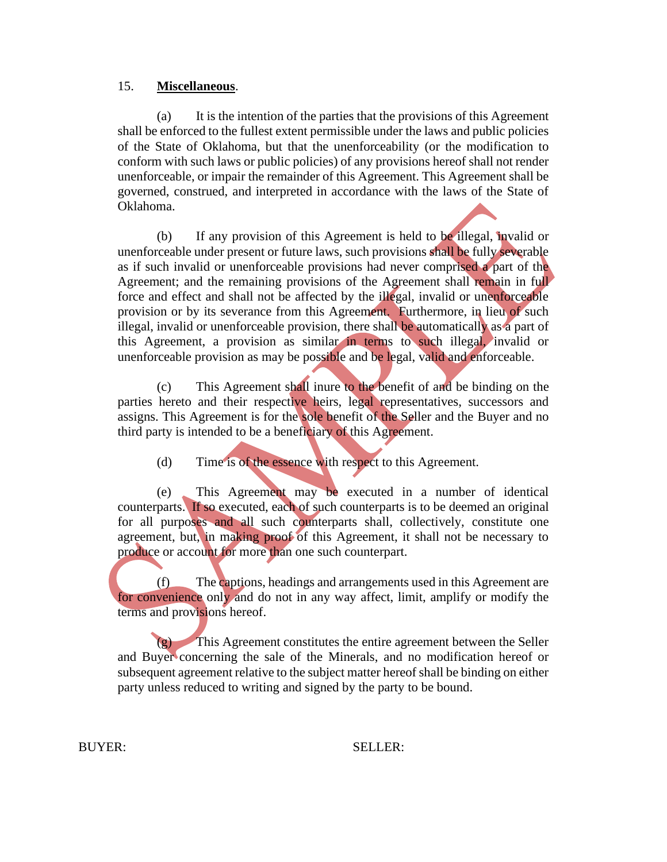## 15. **Miscellaneous**.

(a) It is the intention of the parties that the provisions of this Agreement shall be enforced to the fullest extent permissible under the laws and public policies of the State of Oklahoma, but that the unenforceability (or the modification to conform with such laws or public policies) of any provisions hereof shall not render unenforceable, or impair the remainder of this Agreement. This Agreement shall be governed, construed, and interpreted in accordance with the laws of the State of Oklahoma.

(b) If any provision of this Agreement is held to be illegal, invalid or unenforceable under present or future laws, such provisions shall be fully severable as if such invalid or unenforceable provisions had never comprised a part of the Agreement; and the remaining provisions of the Agreement shall remain in full force and effect and shall not be affected by the illegal, invalid or unenforceable provision or by its severance from this Agreement. Furthermore, in lieu of such illegal, invalid or unenforceable provision, there shall be automatically as a part of this Agreement, a provision as similar in terms to such illegal, invalid or unenforceable provision as may be possible and be legal, valid and enforceable.

(c) This Agreement shall inure to the benefit of and be binding on the parties hereto and their respective heirs, legal representatives, successors and assigns. This Agreement is for the sole benefit of the Seller and the Buyer and no third party is intended to be a beneficiary of this Agreement.

(d) Time is of the essence with respect to this Agreement.

(e) This Agreement may be executed in a number of identical counterparts. If so executed, each of such counterparts is to be deemed an original for all purposes and all such counterparts shall, collectively, constitute one agreement, but, in making proof of this Agreement, it shall not be necessary to produce or account for more than one such counterpart.

(f) The captions, headings and arrangements used in this Agreement are for convenience only and do not in any way affect, limit, amplify or modify the terms and provisions hereof.

(g) This Agreement constitutes the entire agreement between the Seller and Buyer concerning the sale of the Minerals, and no modification hereof or subsequent agreement relative to the subject matter hereof shall be binding on either party unless reduced to writing and signed by the party to be bound.

BUYER: SELLER: